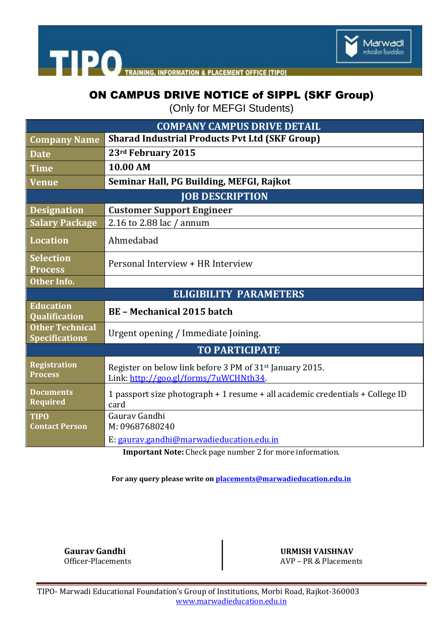



## ON CAMPUS DRIVE NOTICE of SIPPL (SKF Group)

(Only for MEFGI Students)

| <b>COMPANY CAMPUS DRIVE DETAIL</b>              |                                                                                                               |
|-------------------------------------------------|---------------------------------------------------------------------------------------------------------------|
| <b>Company Name</b>                             | <b>Sharad Industrial Products Pvt Ltd (SKF Group)</b>                                                         |
| <b>Date</b>                                     | 23rd February 2015                                                                                            |
| <b>Time</b>                                     | 10.00 AM                                                                                                      |
| <b>Venue</b>                                    | Seminar Hall, PG Building, MEFGI, Rajkot                                                                      |
| <b>JOB DESCRIPTION</b>                          |                                                                                                               |
| <b>Designation</b>                              | <b>Customer Support Engineer</b>                                                                              |
| <b>Salary Package</b>                           | 2.16 to 2.88 lac / annum                                                                                      |
| <b>Location</b>                                 | Ahmedabad                                                                                                     |
| <b>Selection</b><br><b>Process</b>              | Personal Interview + HR Interview                                                                             |
| <b>Other Info.</b>                              |                                                                                                               |
| <b>ELIGIBILITY PARAMETERS</b>                   |                                                                                                               |
| <b>Education</b><br><b>Qualification</b>        | <b>BE - Mechanical 2015 batch</b>                                                                             |
| <b>Other Technical</b><br><b>Specifications</b> | Urgent opening / Immediate Joining.                                                                           |
| <b>TO PARTICIPATE</b>                           |                                                                                                               |
| <b>Registration</b><br><b>Process</b>           | Register on below link before 3 PM of 31 <sup>st</sup> January 2015.<br>Link: http://goo.gl/forms/7uWCHNth34. |
| <b>Documents</b><br><b>Required</b>             | 1 passport size photograph + 1 resume + all academic credentials + College ID<br>card                         |
| <b>TIPO</b><br><b>Contact Person</b>            | Gauray Gandhi<br>M: 09687680240                                                                               |
|                                                 | E: gaurav.gandhi@marwadieducation.edu.in<br>Important Note: Check nego number 2 fer mens information          |

**Important Note:** Check page number 2 for more information.

**For any query please write o[n placements@marwadieducation.edu.in](mailto:placements@marwadieducation.edu.in)**

**Gaurav Gandhi URMISH VAISHNAV**

Officer-Placements AVP – PR & Placements